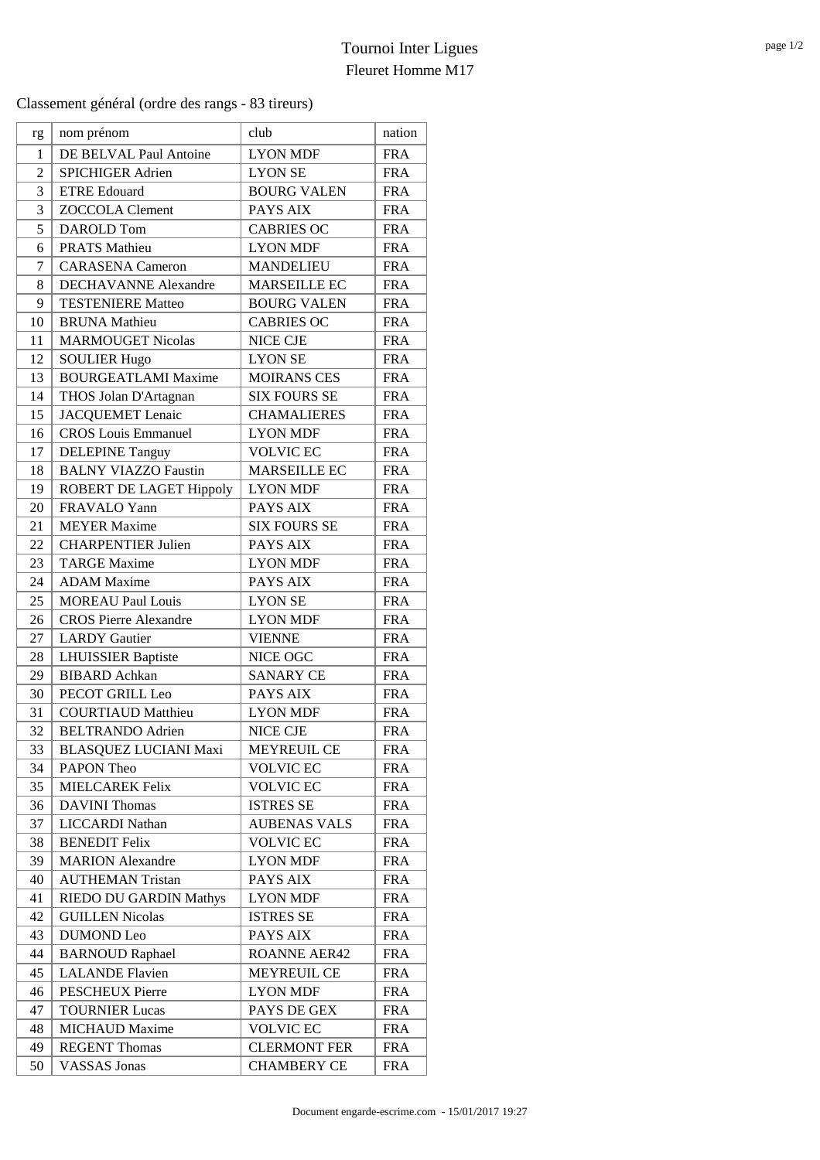Classement général (ordre des rangs - 83 tireurs)

| rg             | nom prénom                    | club                | nation     |
|----------------|-------------------------------|---------------------|------------|
| $\mathbf{1}$   | DE BELVAL Paul Antoine        | <b>LYON MDF</b>     | <b>FRA</b> |
| $\overline{c}$ | SPICHIGER Adrien              | <b>LYON SE</b>      | <b>FRA</b> |
| 3              | <b>ETRE Edouard</b>           | <b>BOURG VALEN</b>  | <b>FRA</b> |
| 3              | <b>ZOCCOLA Clement</b>        | PAYS AIX            | <b>FRA</b> |
| 5              | DAROLD Tom                    | <b>CABRIES OC</b>   | <b>FRA</b> |
| 6              | <b>PRATS Mathieu</b>          | <b>LYON MDF</b>     | <b>FRA</b> |
| 7              | <b>CARASENA</b> Cameron       | <b>MANDELIEU</b>    | <b>FRA</b> |
| 8              | <b>DECHAVANNE Alexandre</b>   | <b>MARSEILLE EC</b> | <b>FRA</b> |
| 9              | <b>TESTENIERE Matteo</b>      | <b>BOURG VALEN</b>  | <b>FRA</b> |
| 10             | <b>BRUNA</b> Mathieu          | <b>CABRIES OC</b>   | <b>FRA</b> |
| 11             | <b>MARMOUGET Nicolas</b>      | <b>NICE CJE</b>     | <b>FRA</b> |
| 12             | <b>SOULIER Hugo</b>           | <b>LYON SE</b>      | <b>FRA</b> |
| 13             | <b>BOURGEATLAMI Maxime</b>    | <b>MOIRANS CES</b>  | <b>FRA</b> |
| 14             | THOS Jolan D'Artagnan         | <b>SIX FOURS SE</b> | <b>FRA</b> |
| 15             | <b>JACQUEMET</b> Lenaic       | <b>CHAMALIERES</b>  | <b>FRA</b> |
| 16             | <b>CROS</b> Louis Emmanuel    | <b>LYON MDF</b>     | <b>FRA</b> |
| 17             | <b>DELEPINE Tanguy</b>        | <b>VOLVIC EC</b>    | <b>FRA</b> |
| 18             | <b>BALNY VIAZZO Faustin</b>   | <b>MARSEILLE EC</b> | <b>FRA</b> |
| 19             | ROBERT DE LAGET Hippoly       | <b>LYON MDF</b>     | <b>FRA</b> |
| 20             | FRAVALO Yann                  | <b>PAYS AIX</b>     | <b>FRA</b> |
| 21             | <b>MEYER</b> Maxime           | <b>SIX FOURS SE</b> | <b>FRA</b> |
| 22             | <b>CHARPENTIER Julien</b>     | PAYS AIX            | <b>FRA</b> |
| 23             | <b>TARGE Maxime</b>           | <b>LYON MDF</b>     | <b>FRA</b> |
| 24             | <b>ADAM</b> Maxime            | PAYS AIX            | <b>FRA</b> |
| 25             | <b>MOREAU Paul Louis</b>      | <b>LYON SE</b>      | <b>FRA</b> |
| 26             | <b>CROS Pierre Alexandre</b>  | <b>LYON MDF</b>     | <b>FRA</b> |
| 27             | <b>LARDY</b> Gautier          | <b>VIENNE</b>       | <b>FRA</b> |
| 28             | <b>LHUISSIER Baptiste</b>     | NICE OGC            | <b>FRA</b> |
| 29             | <b>BIBARD</b> Achkan          | <b>SANARY CE</b>    | <b>FRA</b> |
| 30             | PECOT GRILL Leo               | PAYS AIX            | <b>FRA</b> |
| 31             | <b>COURTIAUD Matthieu</b>     | <b>LYON MDF</b>     | <b>FRA</b> |
| 32             | <b>BELTRANDO Adrien</b>       | <b>NICE CJE</b>     | <b>FRA</b> |
| 33             | <b>BLASQUEZ LUCIANI Maxi</b>  | <b>MEYREUIL CE</b>  | <b>FRA</b> |
| 34             | PAPON Theo                    | <b>VOLVIC EC</b>    | <b>FRA</b> |
| 35             | <b>MIELCAREK Felix</b>        | <b>VOLVIC EC</b>    | <b>FRA</b> |
| 36             | <b>DAVINI Thomas</b>          | <b>ISTRES SE</b>    | <b>FRA</b> |
| 37             | <b>LICCARDI Nathan</b>        | <b>AUBENAS VALS</b> | <b>FRA</b> |
| 38             | <b>BENEDIT Felix</b>          | <b>VOLVIC EC</b>    | <b>FRA</b> |
| 39             | <b>MARION</b> Alexandre       | <b>LYON MDF</b>     | <b>FRA</b> |
| 40             | <b>AUTHEMAN Tristan</b>       | PAYS AIX            | <b>FRA</b> |
| 41             | <b>RIEDO DU GARDIN Mathys</b> | <b>LYON MDF</b>     | <b>FRA</b> |
| 42             | <b>GUILLEN Nicolas</b>        | <b>ISTRES SE</b>    | <b>FRA</b> |
| 43             | <b>DUMOND</b> Leo             | PAYS AIX            | <b>FRA</b> |
| 44             | <b>BARNOUD Raphael</b>        | <b>ROANNE AER42</b> | <b>FRA</b> |
| 45             | <b>LALANDE</b> Flavien        | MEYREUIL CE         | <b>FRA</b> |
| 46             | <b>PESCHEUX Pierre</b>        | <b>LYON MDF</b>     | <b>FRA</b> |
| 47             | <b>TOURNIER Lucas</b>         | PAYS DE GEX         | <b>FRA</b> |
| 48             | <b>MICHAUD Maxime</b>         | <b>VOLVIC EC</b>    | <b>FRA</b> |
| 49             | <b>REGENT Thomas</b>          | <b>CLERMONT FER</b> | <b>FRA</b> |
| 50             | <b>VASSAS</b> Jonas           | <b>CHAMBERY CE</b>  | <b>FRA</b> |